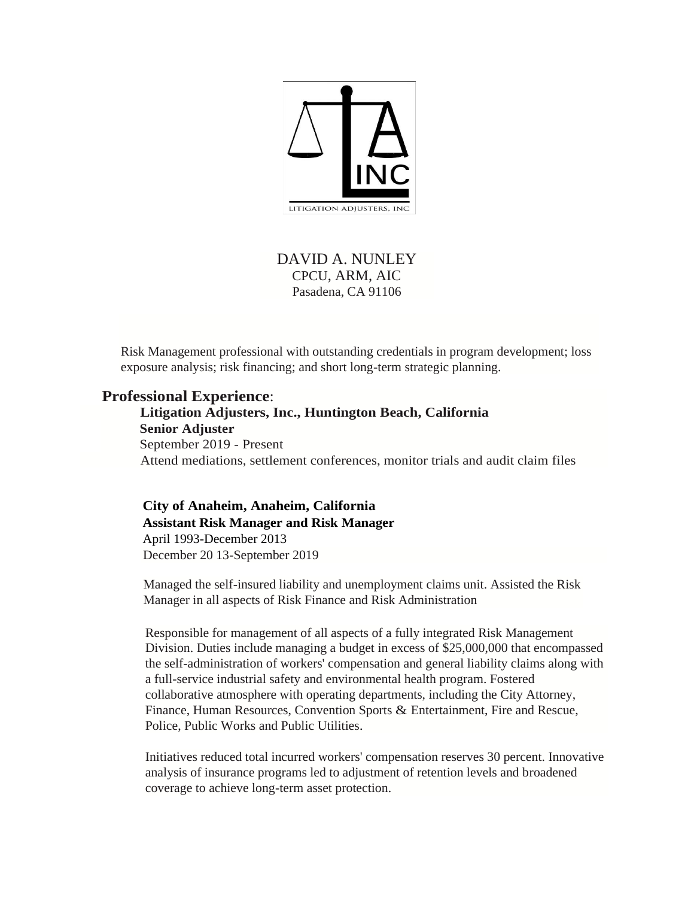

## DAVID A. NUNLEY CPCU, ARM, AIC Pasadena, CA 91106

Risk Management professional with outstanding credentials in program development; loss exposure analysis; risk financing; and short long-term strategic planning.

### **Professional Experience**:

 **Litigation Adjusters, Inc., Huntington Beach, California Senior Adjuster** September 2019 - Present Attend mediations, settlement conferences, monitor trials and audit claim files

**City of Anaheim, Anaheim, California Assistant Risk Manager and Risk Manager** April 1993-December 2013 December 20 13-September 2019

Managed the self-insured liability and unemployment claims unit. Assisted the Risk Manager in all aspects of Risk Finance and Risk Administration

Responsible for management of all aspects of a fully integrated Risk Management Division. Duties include managing a budget in excess of \$25,000,000 that encompassed the self-administration of workers' compensation and general liability claims along with a full-service industrial safety and environmental health program. Fostered collaborative atmosphere with operating departments, including the City Attorney, Finance, Human Resources, Convention Sports & Entertainment, Fire and Rescue, Police, Public Works and Public Utilities.

Initiatives reduced total incurred workers' compensation reserves 30 percent. Innovative analysis of insurance programs led to adjustment of retention levels and broadened coverage to achieve long-term asset protection.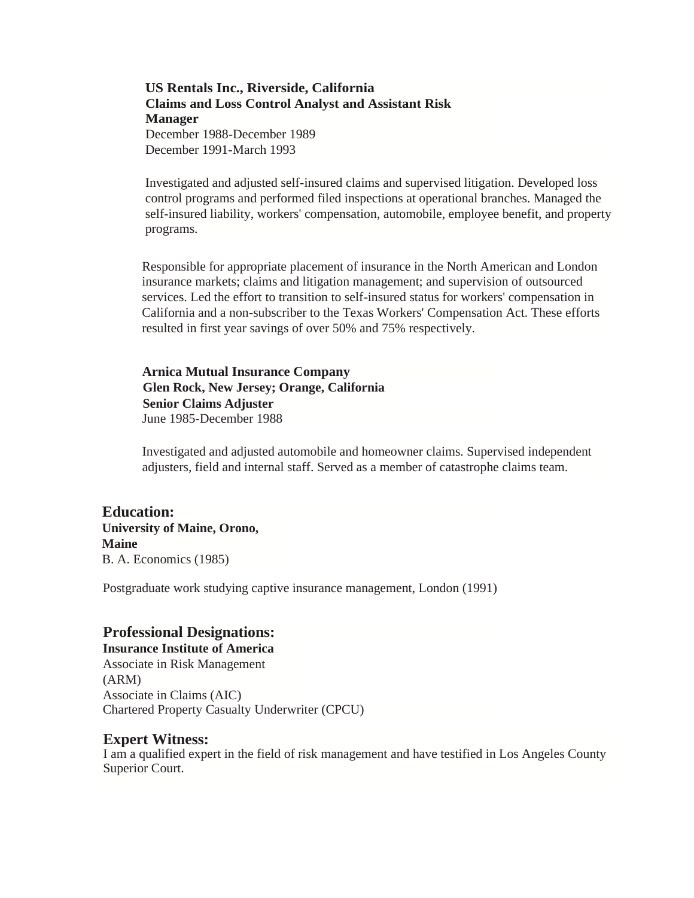**US Rentals Inc., Riverside, California Claims and Loss Control Analyst and Assistant Risk Manager** December 1988-December 1989 December 1991-March 1993

Investigated and adjusted self-insured claims and supervised litigation. Developed loss control programs and performed filed inspections at operational branches. Managed the self-insured liability, workers' compensation, automobile, employee benefit, and property programs.

Responsible for appropriate placement of insurance in the North American and London insurance markets; claims and litigation management; and supervision of outsourced services. Led the effort to transition to self-insured status for workers' compensation in California and a non-subscriber to the Texas Workers' Compensation Act. These efforts resulted in first year savings of over 50% and 75% respectively.

**Arnica Mutual Insurance Company Glen Rock, New Jersey; Orange, California Senior Claims Adjuster**  June 1985-December 1988

Investigated and adjusted automobile and homeowner claims. Supervised independent adjusters, field and internal staff. Served as a member of catastrophe claims team.

**Education: University of Maine, Orono, Maine**  B. A. Economics (1985)

Postgraduate work studying captive insurance management, London (1991)

### **Professional Designations:**

**Insurance Institute of America**  Associate in Risk Management (ARM) Associate in Claims (AIC) Chartered Property Casualty Underwriter (CPCU)

#### **Expert Witness:**

I am a qualified expert in the field of risk management and have testified in Los Angeles County Superior Court.